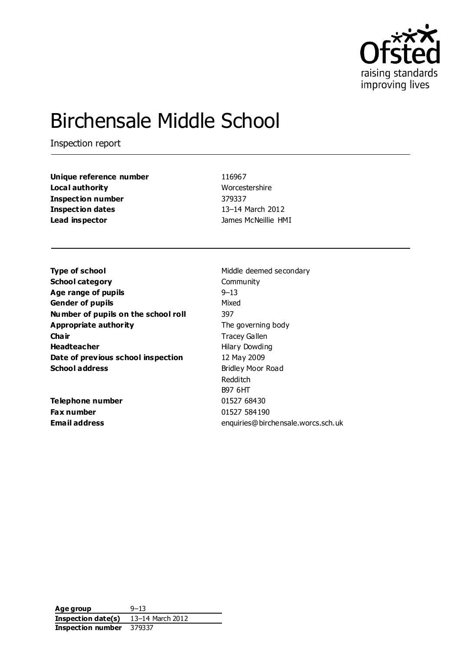

# Birchensale Middle School

Inspection report

| Unique reference number  |
|--------------------------|
| Local authority          |
| <b>Inspection number</b> |
| <b>Inspection dates</b>  |
| Lead inspector           |

**Unique reference number** 116967 **Worcestershire Inspection number** 379337 **Inspection dates** 13–14 March 2012 **James McNeillie HMI** 

**Type of school** Middle deemed secondary **School category** Community **Age range of pupils** example  $9-13$ **Gender of pupils** Mixed **Number of pupils on the school roll** 397 **Appropriate authority** The governing body **Chair** Tracey Gallen **Headteacher Hilary Dowding Date of previous school inspection** 12 May 2009 **School address** Bridley Moor Road

**Telephone number** 01527 68430 **Fax number** 01527 584190

Redditch B97 6HT **Email address** enquiries@birchensale.worcs.sch.uk

**Age group** 9–13 **Inspection date(s)** 13–14 March 2012 **Inspection number** 379337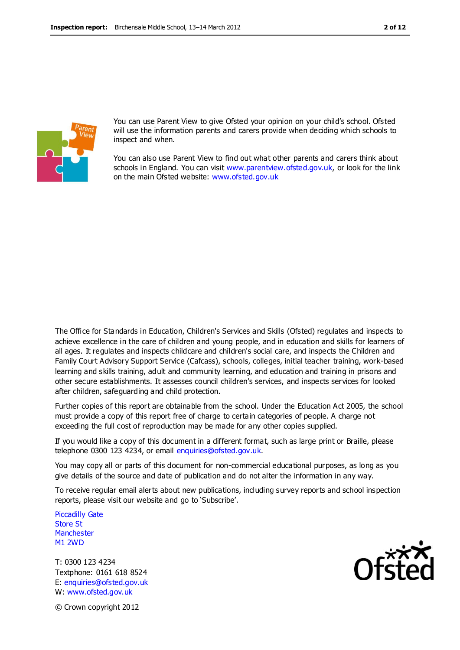

You can use Parent View to give Ofsted your opinion on your child's school. Ofsted will use the information parents and carers provide when deciding which schools to inspect and when.

You can also use Parent View to find out what other parents and carers think about schools in England. You can visit [www.parentview.ofsted.gov.uk,](http://www.parentview.ofsted.gov.uk/) or look for the link on the main Ofsted website: [www.ofsted.gov.uk](http://www.ofsted.gov.uk/)

The Office for Standards in Education, Children's Services and Skills (Ofsted) regulates and inspects to achieve excellence in the care of children and young people, and in education and skills for learners of all ages. It regulates and inspects childcare and children's social care, and inspects the Children and Family Court Advisory Support Service (Cafcass), schools, colleges, initial teacher training, work-based learning and skills training, adult and community learning, and education and training in prisons and other secure establishments. It assesses council children's services, and inspects services for looked after children, safeguarding and child protection.

Further copies of this report are obtainable from the school. Under the Education Act 2005, the school must provide a copy of this report free of charge to certain categories of people. A charge not exceeding the full cost of reproduction may be made for any other copies supplied.

If you would like a copy of this document in a different format, such as large print or Braille, please telephone 0300 123 4234, or email enquiries@ofsted.gov.uk.

You may copy all or parts of this document for non-commercial educational purposes, as long as you give details of the source and date of publication and do not alter the information in any way.

To receive regular email alerts about new publications, including survey reports and school inspection reports, please visit our website and go to 'Subscribe'.

Piccadilly Gate Store St **Manchester** M1 2WD

T: 0300 123 4234 Textphone: 0161 618 8524 E: enquiries@ofsted.gov.uk W: www.ofsted.gov.uk



© Crown copyright 2012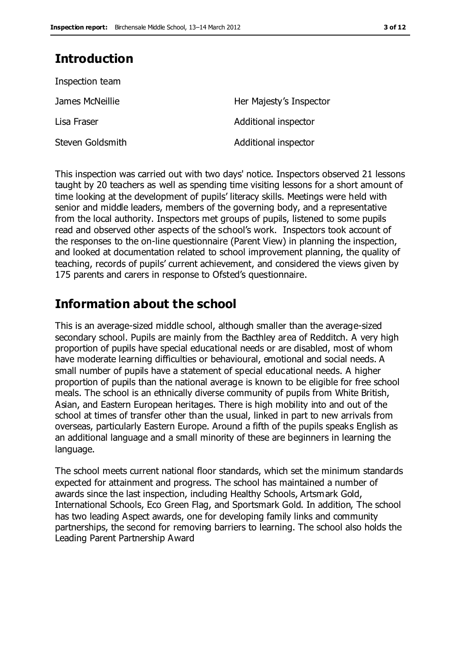# **Introduction**

| Inspection team  |                         |
|------------------|-------------------------|
| James McNeillie  | Her Majesty's Inspector |
| Lisa Fraser      | Additional inspector    |
| Steven Goldsmith | Additional inspector    |

This inspection was carried out with two days' notice. Inspectors observed 21 lessons taught by 20 teachers as well as spending time visiting lessons for a short amount of time looking at the development of pupils' literacy skills. Meetings were held with senior and middle leaders, members of the governing body, and a representative from the local authority. Inspectors met groups of pupils, listened to some pupils read and observed other aspects of the school's work. Inspectors took account of the responses to the on-line questionnaire (Parent View) in planning the inspection, and looked at documentation related to school improvement planning, the quality of teaching, records of pupils' current achievement, and considered the views given by 175 parents and carers in response to Ofsted's questionnaire.

# **Information about the school**

This is an average-sized middle school, although smaller than the average-sized secondary school. Pupils are mainly from the Bacthley area of Redditch. A very high proportion of pupils have special educational needs or are disabled, most of whom have moderate learning difficulties or behavioural, emotional and social needs. A small number of pupils have a statement of special educational needs. A higher proportion of pupils than the national average is known to be eligible for free school meals. The school is an ethnically diverse community of pupils from White British, Asian, and Eastern European heritages. There is high mobility into and out of the school at times of transfer other than the usual, linked in part to new arrivals from overseas, particularly Eastern Europe. Around a fifth of the pupils speaks English as an additional language and a small minority of these are beginners in learning the language.

The school meets current national floor standards, which set the minimum standards expected for attainment and progress. The school has maintained a number of awards since the last inspection, including Healthy Schools, Artsmark Gold, International Schools, Eco Green Flag, and Sportsmark Gold. In addition, The school has two leading Aspect awards, one for developing family links and community partnerships, the second for removing barriers to learning. The school also holds the Leading Parent Partnership Award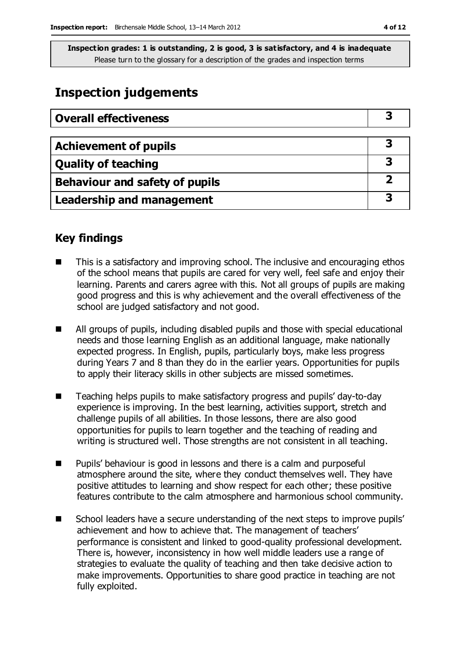# **Inspection judgements**

| <b>Overall effectiveness</b>     |  |
|----------------------------------|--|
|                                  |  |
| <b>Achievement of pupils</b>     |  |
| <b>Quality of teaching</b>       |  |
| Behaviour and safety of pupils   |  |
| <b>Leadership and management</b> |  |

# **Key findings**

- This is a satisfactory and improving school. The inclusive and encouraging ethos of the school means that pupils are cared for very well, feel safe and enjoy their learning. Parents and carers agree with this. Not all groups of pupils are making good progress and this is why achievement and the overall effectiveness of the school are judged satisfactory and not good.
- All groups of pupils, including disabled pupils and those with special educational needs and those learning English as an additional language, make nationally expected progress. In English, pupils, particularly boys, make less progress during Years 7 and 8 than they do in the earlier years. Opportunities for pupils to apply their literacy skills in other subjects are missed sometimes.
- Teaching helps pupils to make satisfactory progress and pupils' day-to-day experience is improving. In the best learning, activities support, stretch and challenge pupils of all abilities. In those lessons, there are also good opportunities for pupils to learn together and the teaching of reading and writing is structured well. Those strengths are not consistent in all teaching.
- Pupils' behaviour is good in lessons and there is a calm and purposeful atmosphere around the site, where they conduct themselves well. They have positive attitudes to learning and show respect for each other; these positive features contribute to the calm atmosphere and harmonious school community.
- School leaders have a secure understanding of the next steps to improve pupils' achievement and how to achieve that. The management of teachers' performance is consistent and linked to good-quality professional development. There is, however, inconsistency in how well middle leaders use a range of strategies to evaluate the quality of teaching and then take decisive action to make improvements. Opportunities to share good practice in teaching are not fully exploited.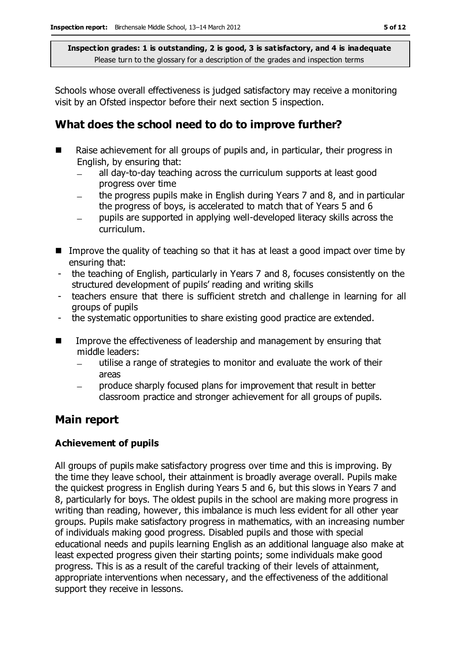Schools whose overall effectiveness is judged satisfactory may receive a monitoring visit by an Ofsted inspector before their next section 5 inspection.

# **What does the school need to do to improve further?**

- Raise achievement for all groups of pupils and, in particular, their progress in English, by ensuring that:
	- all day-to-day teaching across the curriculum supports at least good progress over time
	- the progress pupils make in English during Years 7 and 8, and in particular  $\overline{\phantom{0}}$ the progress of boys, is accelerated to match that of Years 5 and 6
	- pupils are supported in applying well-developed literacy skills across the curriculum.
- Improve the quality of teaching so that it has at least a good impact over time by ensuring that:
- the teaching of English, particularly in Years 7 and 8, focuses consistently on the structured development of pupils' reading and writing skills
- teachers ensure that there is sufficient stretch and challenge in learning for all groups of pupils
- the systematic opportunities to share existing good practice are extended.
- **IMPROVE THE EFFECT INCOCES SET ASSESS** of leadership and management by ensuring that middle leaders:
	- utilise a range of strategies to monitor and evaluate the work of their areas
	- produce sharply focused plans for improvement that result in better classroom practice and stronger achievement for all groups of pupils.

# **Main report**

### **Achievement of pupils**

All groups of pupils make satisfactory progress over time and this is improving. By the time they leave school, their attainment is broadly average overall. Pupils make the quickest progress in English during Years 5 and 6, but this slows in Years 7 and 8, particularly for boys. The oldest pupils in the school are making more progress in writing than reading, however, this imbalance is much less evident for all other year groups. Pupils make satisfactory progress in mathematics, with an increasing number of individuals making good progress. Disabled pupils and those with special educational needs and pupils learning English as an additional language also make at least expected progress given their starting points; some individuals make good progress. This is as a result of the careful tracking of their levels of attainment, appropriate interventions when necessary, and the effectiveness of the additional support they receive in lessons.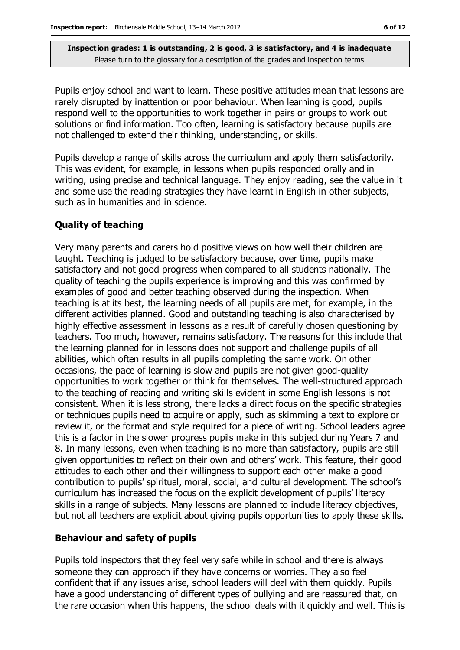Pupils enjoy school and want to learn. These positive attitudes mean that lessons are rarely disrupted by inattention or poor behaviour. When learning is good, pupils respond well to the opportunities to work together in pairs or groups to work out solutions or find information. Too often, learning is satisfactory because pupils are not challenged to extend their thinking, understanding, or skills.

Pupils develop a range of skills across the curriculum and apply them satisfactorily. This was evident, for example, in lessons when pupils responded orally and in writing, using precise and technical language. They enjoy reading, see the value in it and some use the reading strategies they have learnt in English in other subjects, such as in humanities and in science.

#### **Quality of teaching**

Very many parents and carers hold positive views on how well their children are taught. Teaching is judged to be satisfactory because, over time, pupils make satisfactory and not good progress when compared to all students nationally. The quality of teaching the pupils experience is improving and this was confirmed by examples of good and better teaching observed during the inspection. When teaching is at its best, the learning needs of all pupils are met, for example, in the different activities planned. Good and outstanding teaching is also characterised by highly effective assessment in lessons as a result of carefully chosen questioning by teachers. Too much, however, remains satisfactory. The reasons for this include that the learning planned for in lessons does not support and challenge pupils of all abilities, which often results in all pupils completing the same work. On other occasions, the pace of learning is slow and pupils are not given good-quality opportunities to work together or think for themselves. The well-structured approach to the teaching of reading and writing skills evident in some English lessons is not consistent. When it is less strong, there lacks a direct focus on the specific strategies or techniques pupils need to acquire or apply, such as skimming a text to explore or review it, or the format and style required for a piece of writing. School leaders agree this is a factor in the slower progress pupils make in this subject during Years 7 and 8. In many lessons, even when teaching is no more than satisfactory, pupils are still given opportunities to reflect on their own and others' work. This feature, their good attitudes to each other and their willingness to support each other make a good contribution to pupils' spiritual, moral, social, and cultural development. The school's curriculum has increased the focus on the explicit development of pupils' literacy skills in a range of subjects. Many lessons are planned to include literacy objectives, but not all teachers are explicit about giving pupils opportunities to apply these skills.

#### **Behaviour and safety of pupils**

Pupils told inspectors that they feel very safe while in school and there is always someone they can approach if they have concerns or worries. They also feel confident that if any issues arise, school leaders will deal with them quickly. Pupils have a good understanding of different types of bullying and are reassured that, on the rare occasion when this happens, the school deals with it quickly and well. This is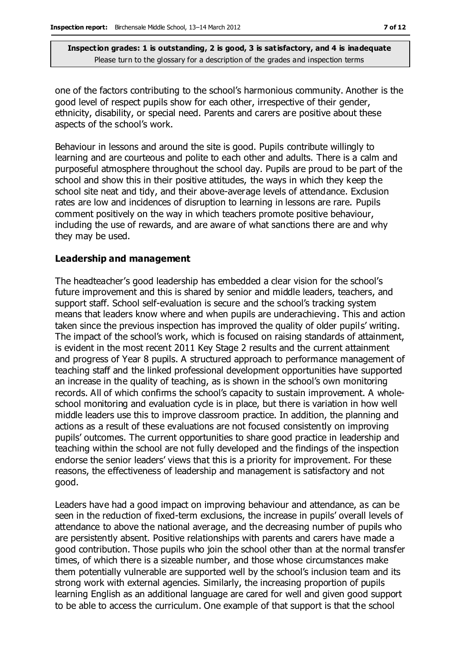one of the factors contributing to the school's harmonious community. Another is the good level of respect pupils show for each other, irrespective of their gender, ethnicity, disability, or special need. Parents and carers are positive about these aspects of the school's work.

Behaviour in lessons and around the site is good. Pupils contribute willingly to learning and are courteous and polite to each other and adults. There is a calm and purposeful atmosphere throughout the school day. Pupils are proud to be part of the school and show this in their positive attitudes, the ways in which they keep the school site neat and tidy, and their above-average levels of attendance. Exclusion rates are low and incidences of disruption to learning in lessons are rare. Pupils comment positively on the way in which teachers promote positive behaviour, including the use of rewards, and are aware of what sanctions there are and why they may be used.

#### **Leadership and management**

The headteacher's good leadership has embedded a clear vision for the school's future improvement and this is shared by senior and middle leaders, teachers, and support staff. School self-evaluation is secure and the school's tracking system means that leaders know where and when pupils are underachieving. This and action taken since the previous inspection has improved the quality of older pupils' writing. The impact of the school's work, which is focused on raising standards of attainment, is evident in the most recent 2011 Key Stage 2 results and the current attainment and progress of Year 8 pupils. A structured approach to performance management of teaching staff and the linked professional development opportunities have supported an increase in the quality of teaching, as is shown in the school's own monitoring records. All of which confirms the school's capacity to sustain improvement. A wholeschool monitoring and evaluation cycle is in place, but there is variation in how well middle leaders use this to improve classroom practice. In addition, the planning and actions as a result of these evaluations are not focused consistently on improving pupils' outcomes. The current opportunities to share good practice in leadership and teaching within the school are not fully developed and the findings of the inspection endorse the senior leaders' views that this is a priority for improvement. For these reasons, the effectiveness of leadership and management is satisfactory and not good.

Leaders have had a good impact on improving behaviour and attendance, as can be seen in the reduction of fixed-term exclusions, the increase in pupils' overall levels of attendance to above the national average, and the decreasing number of pupils who are persistently absent. Positive relationships with parents and carers have made a good contribution. Those pupils who join the school other than at the normal transfer times, of which there is a sizeable number, and those whose circumstances make them potentially vulnerable are supported well by the school's inclusion team and its strong work with external agencies. Similarly, the increasing proportion of pupils learning English as an additional language are cared for well and given good support to be able to access the curriculum. One example of that support is that the school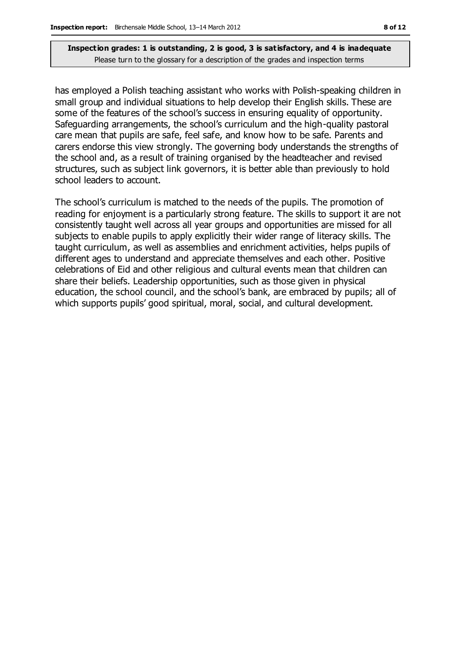has employed a Polish teaching assistant who works with Polish-speaking children in small group and individual situations to help develop their English skills. These are some of the features of the school's success in ensuring equality of opportunity. Safeguarding arrangements, the school's curriculum and the high-quality pastoral care mean that pupils are safe, feel safe, and know how to be safe. Parents and carers endorse this view strongly. The governing body understands the strengths of the school and, as a result of training organised by the headteacher and revised structures, such as subject link governors, it is better able than previously to hold school leaders to account.

The school's curriculum is matched to the needs of the pupils. The promotion of reading for enjoyment is a particularly strong feature. The skills to support it are not consistently taught well across all year groups and opportunities are missed for all subjects to enable pupils to apply explicitly their wider range of literacy skills. The taught curriculum, as well as assemblies and enrichment activities, helps pupils of different ages to understand and appreciate themselves and each other. Positive celebrations of Eid and other religious and cultural events mean that children can share their beliefs. Leadership opportunities, such as those given in physical education, the school council, and the school's bank, are embraced by pupils; all of which supports pupils' good spiritual, moral, social, and cultural development.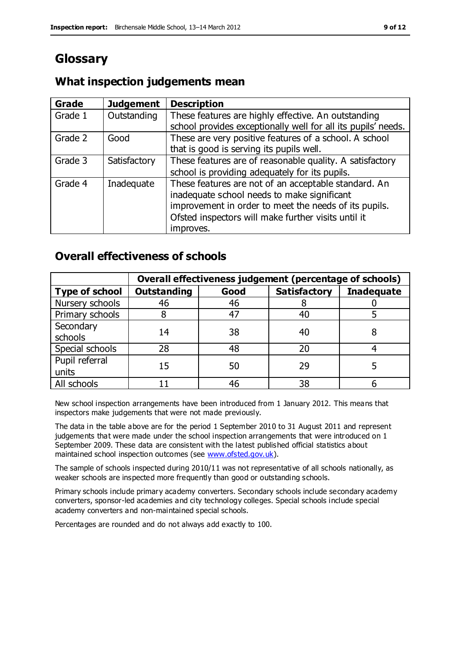# **Glossary**

# **What inspection judgements mean**

| Grade   | <b>Judgement</b> | <b>Description</b>                                                                                                                                                                                                               |
|---------|------------------|----------------------------------------------------------------------------------------------------------------------------------------------------------------------------------------------------------------------------------|
| Grade 1 | Outstanding      | These features are highly effective. An outstanding<br>school provides exceptionally well for all its pupils' needs.                                                                                                             |
| Grade 2 | Good             | These are very positive features of a school. A school<br>that is good is serving its pupils well.                                                                                                                               |
| Grade 3 | Satisfactory     | These features are of reasonable quality. A satisfactory<br>school is providing adequately for its pupils.                                                                                                                       |
| Grade 4 | Inadequate       | These features are not of an acceptable standard. An<br>inadequate school needs to make significant<br>improvement in order to meet the needs of its pupils.<br>Ofsted inspectors will make further visits until it<br>improves. |

# **Overall effectiveness of schools**

|                         | Overall effectiveness judgement (percentage of schools) |      |                     |                   |
|-------------------------|---------------------------------------------------------|------|---------------------|-------------------|
| <b>Type of school</b>   | <b>Outstanding</b>                                      | Good | <b>Satisfactory</b> | <b>Inadequate</b> |
| Nursery schools         | 46                                                      | 46   |                     |                   |
| Primary schools         |                                                         | 47   | 40                  |                   |
| Secondary<br>schools    | 14                                                      | 38   | 40                  |                   |
| Special schools         | 28                                                      | 48   | 20                  |                   |
| Pupil referral<br>units | 15                                                      | 50   | 29                  |                   |
| All schools             |                                                         | 46   | 38                  |                   |

New school inspection arrangements have been introduced from 1 January 2012. This means that inspectors make judgements that were not made previously.

The data in the table above are for the period 1 September 2010 to 31 August 2011 and represent judgements that were made under the school inspection arrangements that were introduced on 1 September 2009. These data are consistent with the latest published official statistics about maintained school inspection outcomes (see [www.ofsted.gov.uk\)](http://www.ofsted.gov.uk/).

The sample of schools inspected during 2010/11 was not representative of all schools nationally, as weaker schools are inspected more frequently than good or outstanding schools.

Primary schools include primary academy converters. Secondary schools include secondary academy converters, sponsor-led academies and city technology colleges. Special schools include special academy converters and non-maintained special schools.

Percentages are rounded and do not always add exactly to 100.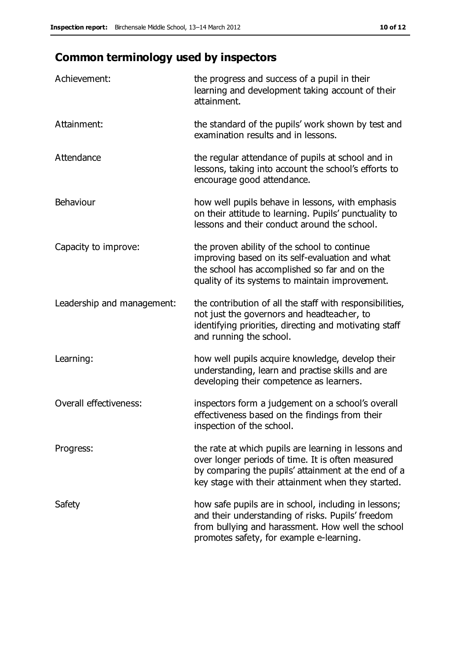# **Common terminology used by inspectors**

| Achievement:                  | the progress and success of a pupil in their<br>learning and development taking account of their<br>attainment.                                                                                                        |
|-------------------------------|------------------------------------------------------------------------------------------------------------------------------------------------------------------------------------------------------------------------|
| Attainment:                   | the standard of the pupils' work shown by test and<br>examination results and in lessons.                                                                                                                              |
| Attendance                    | the regular attendance of pupils at school and in<br>lessons, taking into account the school's efforts to<br>encourage good attendance.                                                                                |
| Behaviour                     | how well pupils behave in lessons, with emphasis<br>on their attitude to learning. Pupils' punctuality to<br>lessons and their conduct around the school.                                                              |
| Capacity to improve:          | the proven ability of the school to continue<br>improving based on its self-evaluation and what<br>the school has accomplished so far and on the<br>quality of its systems to maintain improvement.                    |
| Leadership and management:    | the contribution of all the staff with responsibilities,<br>not just the governors and headteacher, to<br>identifying priorities, directing and motivating staff<br>and running the school.                            |
| Learning:                     | how well pupils acquire knowledge, develop their<br>understanding, learn and practise skills and are<br>developing their competence as learners.                                                                       |
| <b>Overall effectiveness:</b> | inspectors form a judgement on a school's overall<br>effectiveness based on the findings from their<br>inspection of the school.                                                                                       |
| Progress:                     | the rate at which pupils are learning in lessons and<br>over longer periods of time. It is often measured<br>by comparing the pupils' attainment at the end of a<br>key stage with their attainment when they started. |
| Safety                        | how safe pupils are in school, including in lessons;<br>and their understanding of risks. Pupils' freedom<br>from bullying and harassment. How well the school<br>promotes safety, for example e-learning.             |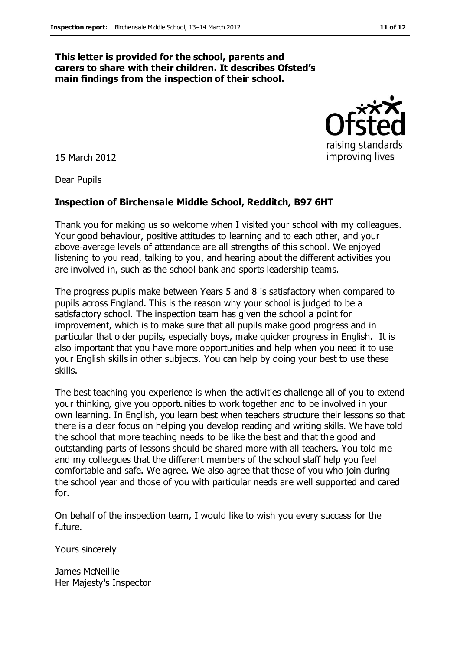#### **This letter is provided for the school, parents and carers to share with their children. It describes Ofsted's main findings from the inspection of their school.**

15 March 2012

Dear Pupils

#### **Inspection of Birchensale Middle School, Redditch, B97 6HT**

Thank you for making us so welcome when I visited your school with my colleagues. Your good behaviour, positive attitudes to learning and to each other, and your above-average levels of attendance are all strengths of this school. We enjoyed listening to you read, talking to you, and hearing about the different activities you are involved in, such as the school bank and sports leadership teams.

The progress pupils make between Years 5 and 8 is satisfactory when compared to pupils across England. This is the reason why your school is judged to be a satisfactory school. The inspection team has given the school a point for improvement, which is to make sure that all pupils make good progress and in particular that older pupils, especially boys, make quicker progress in English. It is also important that you have more opportunities and help when you need it to use your English skills in other subjects. You can help by doing your best to use these skills.

The best teaching you experience is when the activities challenge all of you to extend your thinking, give you opportunities to work together and to be involved in your own learning. In English, you learn best when teachers structure their lessons so that there is a clear focus on helping you develop reading and writing skills. We have told the school that more teaching needs to be like the best and that the good and outstanding parts of lessons should be shared more with all teachers. You told me and my colleagues that the different members of the school staff help you feel comfortable and safe. We agree. We also agree that those of you who join during the school year and those of you with particular needs are well supported and cared for.

On behalf of the inspection team, I would like to wish you every success for the future.

Yours sincerely

James McNeillie Her Majesty's Inspector